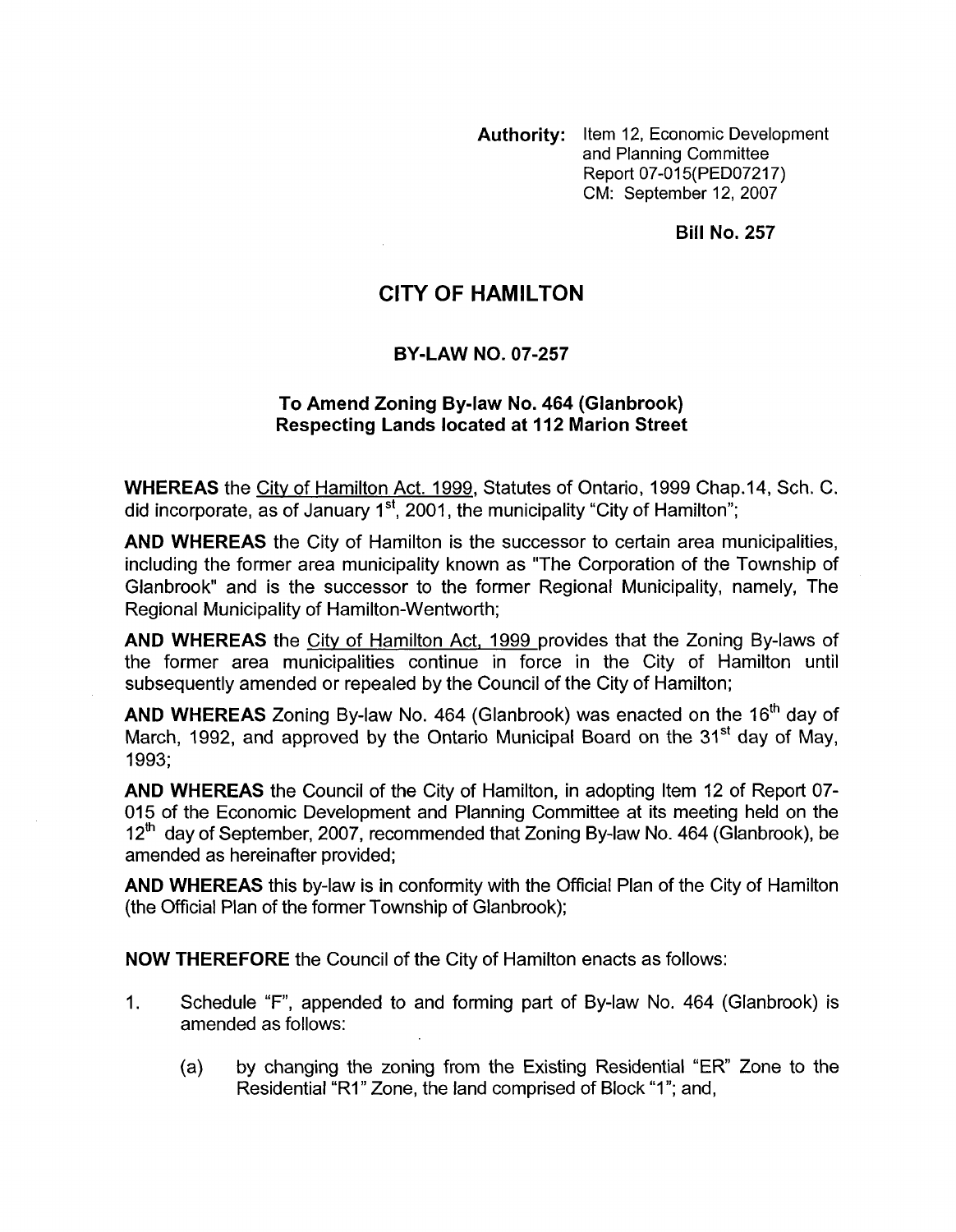**Authority:** Item 12, Economic Development and Planning Committee Report 07-015(PED07217) CM: September 12,2007

**Bill No. 257** 

## **CITY OF HAMILTON**

## **BY-LAW NO. 07-257**

## **To Amend Zoning By-law No. 464 (Glanbrook) Respecting Lands located at 112 Marion Street**

**WHEREAS** the Citv of Hamilton Act. 1999, Statutes of Ontario, 1999 Chap.14, Sch. C. did incorporate, as of January  $1<sup>st</sup>$ , 2001, the municipality "City of Hamilton";

**AND WHEREAS** the City of Hamilton is the successor to certain area municipalities, including the former area municipality known as "The Corporation of the Township of Glanbrook" and is the successor to the former Regional Municipality, namely, The Regional Municipality of Hamilton-Wentworth;

**AND WHEREAS** the Citv of Hamilton Act, 1999 provides that the Zoning By-laws of the former area municipalities continue in force in the City of Hamilton until subsequently amended or repealed by the Council of the City of Hamilton;

**AND WHEREAS** Zoning By-law No. 464 (Glanbrook) was enacted on the 16'h day of March, 1992, and approved by the Ontario Municipal Board on the 31<sup>st</sup> day of May. 1993;

**AND WHEREAS** the Council of the City of Hamilton, in adopting Item 12 of Report **07-**  015 of the Economic Development and Planning Committee at its meeting held on the  $12<sup>th</sup>$  day of September, 2007, recommended that Zoning By-law No. 464 (Glanbrook), be amended as hereinafter provided;

**AND WHEREAS** this by-law is in conformity with the Official Plan of the City of Hamilton (the Official Plan of the former Township of Glanbrook);

**NOW THEREFORE** the Council of the City of Hamilton enacts as follows:

- 1. Schedule "F", appended to and forming part of By-law No. 464 (Glanbrook) is amended as follows:
	- (a) by changing the zoning from the Existing Residential "ER" Zone to the Residential "R1" Zone, the land comprised of Block "1"; and,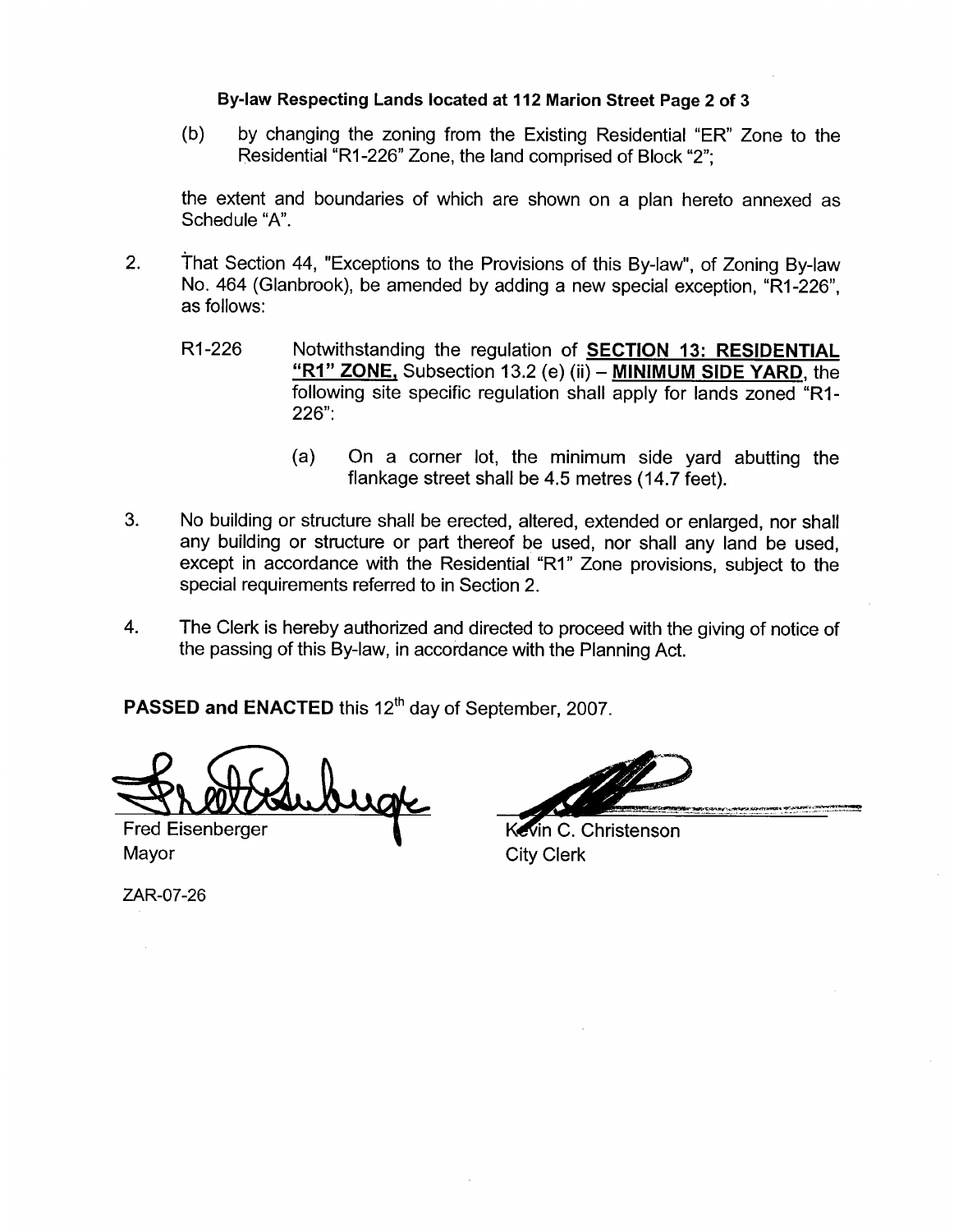## **By-law Respecting Lands located at 112 Marion Street Page 2 of 3**

(b) by changing the zoning from the Existing Residential "ER" Zone to the Residential "RI-226" Zone, the land comprised of Block "2";

the extent and boundaries of which are shown on a plan hereto annexed as Schedule "A'.

- 2. That Section 44, "Exceptions to the Provisions of this By-law", of Zoning By-law No. 464 (Glanbrook), be amended by adding a new special exception, "RI-226", as follows:
	- R1-226 Notwithstanding the regulation of **SECTION 13: RESIDENTIAL "RI" ZONE,** Subsection 13.2 (e) (ii) - **MINIMUM SIDE YARD,** the following site specific regulation shall apply for lands zoned "RI-226":
		- (a) On a corner lot, the minimum side yard abutting the flankage street shall be 4.5 metres (14.7 feet).
- 3. No building or structure shall be erected, altered, extended or enlarged, nor shall any building or structure or part thereof be used, nor shall any land be used, except in accordance with the Residential "RI" Zone provisions, subject to the special requirements referred to in Section 2.
- 4. The Clerk is hereby authorized and directed to proceed with the giving of notice of the passing of this By-law, in accordance with the Planning Act.

PASSED and ENACTED this 12<sup>th</sup> day of September, 2007.

uge

**Fred Eisenberger** Mayor City Clerk

Kevin C. Christenson

ZAR-07-26